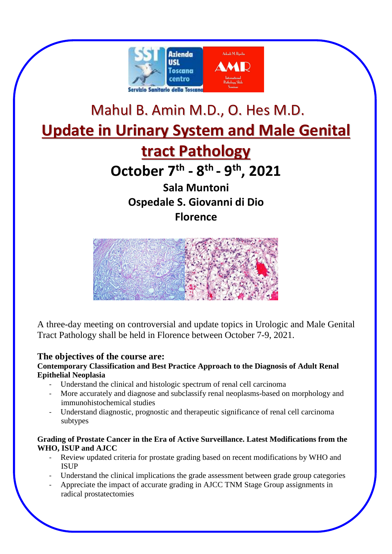

# Mahul B. Amin M.D., O. Hes M.D. **Update in Urinary System and Male Genital tract Pathology October 7th - 8th - 9th, 2021 Sala Muntoni Ospedale S. Giovanni di Dio Florence**



A three-day meeting on controversial and update topics in Urologic and Male Genital Tract Pathology shall be held in Florence between October 7-9, 2021.

# **The objectives of the course are:**

# **Contemporary Classification and Best Practice Approach to the Diagnosis of Adult Renal Epithelial Neoplasia**

- Understand the clinical and histologic spectrum of renal cell carcinoma
- More accurately and diagnose and subclassify renal neoplasms-based on morphology and immunohistochemical studies
- Understand diagnostic, prognostic and therapeutic significance of renal cell carcinoma subtypes

### **Grading of Prostate Cancer in the Era of Active Surveillance. Latest Modifications from the WHO, ISUP and AJCC**

- Review updated criteria for prostate grading based on recent modifications by WHO and **ISUP**
- Understand the clinical implications the grade assessment between grade group categories
- Appreciate the impact of accurate grading in AJCC TNM Stage Group assignments in radical prostatectomies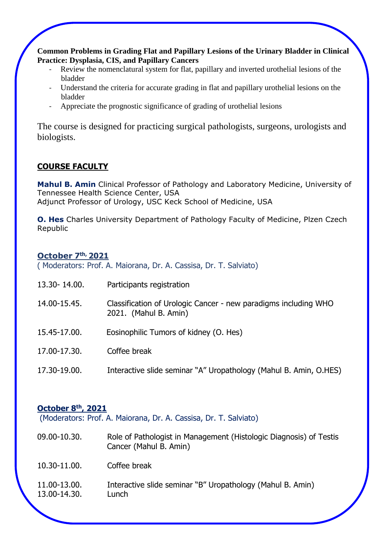**Common Problems in Grading Flat and Papillary Lesions of the Urinary Bladder in Clinical Practice: Dysplasia, CIS, and Papillary Cancers** 

- Review the nomenclatural system for flat, papillary and inverted urothelial lesions of the bladder
- Understand the criteria for accurate grading in flat and papillary urothelial lesions on the bladder
- Appreciate the prognostic significance of grading of urothelial lesions

The course is designed for practicing surgical pathologists, surgeons, urologists and biologists.

# **COURSE FACULTY**

**Mahul B. Amin** Clinical Professor of Pathology and Laboratory Medicine, University of Tennessee Health Science Center, USA Adjunct Professor of Urology, USC Keck School of Medicine, USA

**O. Hes** Charles University Department of Pathology Faculty of Medicine, Plzen Czech Republic

# **October 7th, 2021**

( Moderators: Prof. A. Maiorana, Dr. A. Cassisa, Dr. T. Salviato)

13.30- 14.00. Participants registration 14.00-15.45. Classification of Urologic Cancer - new paradigms including WHO 2021. (Mahul B. Amin) 15.45-17.00. Eosinophilic Tumors of kidney (O. Hes) 17.00-17.30. Coffee break 17.30-19.00. Interactive slide seminar "A" Uropathology (Mahul B. Amin, O.HES)

# **October 8th, 2021**

(Moderators: Prof. A. Maiorana, Dr. A. Cassisa, Dr. T. Salviato)

09.00-10.30. Role of Pathologist in Management (Histologic Diagnosis) of Testis Cancer (Mahul B. Amin) 10.30-11.00. Coffee break 11.00-13.00. Interactive slide seminar "B" Uropathology (Mahul B. Amin) 13.00-14.30. Lunch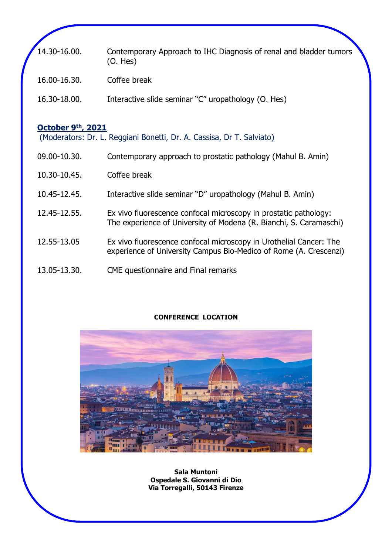| $14.30 - 16.00.$ | Contemporary Approach to IHC Diagnosis of renal and bladder tumors<br>$(O.$ Hes $)$ |
|------------------|-------------------------------------------------------------------------------------|
| 16.00-16.30.     | Coffee break                                                                        |
| 16.30-18.00.     | Interactive slide seminar "C" uropathology (O. Hes)                                 |

# **October 9th, 2021**

(Moderators: Dr. L. Reggiani Bonetti, Dr. A. Cassisa, Dr T. Salviato)

- 09.00-10.30. Contemporary approach to prostatic pathology (Mahul B. Amin)
- 10.30-10.45. Coffee break
- 10.45-12.45. Interactive slide seminar "D" uropathology (Mahul B. Amin)
- 12.45-12.55. Ex vivo fluorescence confocal microscopy in prostatic pathology: The experience of University of Modena (R. Bianchi, S. Caramaschi)
- 12.55-13.05 Ex vivo fluorescence confocal microscopy in Urothelial Cancer: The experience of University Campus Bio-Medico of Rome (A. Crescenzi)
- 13.05-13.30. CME questionnaire and Final remarks

### **CONFERENCE LOCATION**



**Sala Muntoni Ospedale S. Giovanni di Dio Via Torregalli, 50143 Firenze**